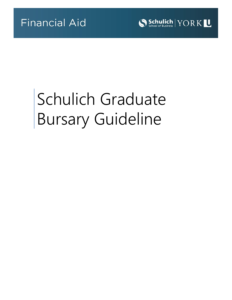

# Schulich Graduate Bursary Guideline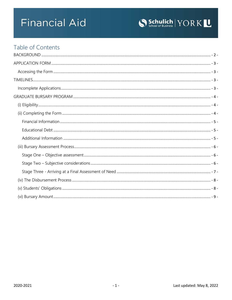

# **Table of Contents**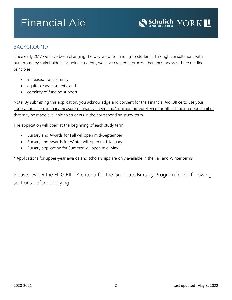

### <span id="page-2-0"></span>BACKGROUND

Since early 2017 we have been changing the way we offer funding to students. Through consultations with numerous key stakeholders including students, we have created a process that encompasses three guiding principles:

- increased transparency,
- equitable assessments, and
- certainty of funding support.

Note: By submitting this application, you acknowledge and consent for the Financial Aid Office to use your application as preliminary measure of financial need and/or academic excellence for other funding opportunities that may be made available to students in the corresponding study term.

The application will open at the beginning of each study term:

- Bursary and Awards for Fall will open mid-September
- Bursary and Awards for Winter will open mid-January
- Bursary application for Summer will open mid-May\*

\* Applications for upper-year awards and scholarships are only available in the Fall and Winter terms.

Please review the ELIGIBILITY criteria for the Graduate Bursary Program in the following sections before applying.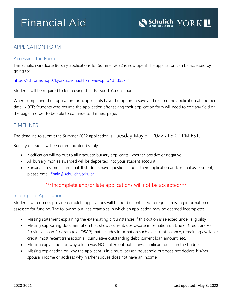

# <span id="page-3-0"></span>APPLICATION FORM

#### <span id="page-3-1"></span>Accessing the Form

The Schulich Graduate Bursary applications for Summer 2022 is now open! The application can be accessed by going to:

<https://ssbforms.apps01.yorku.ca/machform/view.php?id=355741>

Students will be required to login using their Passport York account.

When completing the application form, applicants have the option to save and resume the application at another time. NOTE: Students who resume the application after saving their application form will need to edit any field on the page in order to be able to continue to the next page.

### <span id="page-3-2"></span>TIMELINES

The deadline to submit the Summer 2022 application is **Tuesday May 31, 2022 at 3:00 PM EST**.

Bursary decisions will be communicated by July.

- Notification will go out to all graduate bursary applicants, whether positive or negative.
- All bursary monies awarded will be deposited into your student account.
- Bursary assessments are final. If students have questions about their application and/or final assessment, please email [finaid@schulich.yorku.ca.](mailto:finaid@schulich.yorku.ca)

## \*\*\*Incomplete and/or late applications will not be accepted\*\*\*

#### <span id="page-3-3"></span>Incomplete Applications

Students who do not provide complete applications will be not be contacted to request missing information or assessed for funding. The following outlines examples in which an application may be deemed incomplete:

- Missing statement explaining the extenuating circumstances if this option is selected under eligibility
- Missing supporting documentation that shows current, up-to-date information on Line of Credit and/or Provincial Loan Program (e.g. OSAP) that includes information such as current balance, remaining available credit, most recent transaction(s), cumulative outstanding debt, current loan amount, etc.
- Missing explanation on why a loan was NOT taken out but shows significant deficit in the budget
- Missing explanation on why the applicant is in a multi-person household but does not declare his/her spousal income or address why his/her spouse does not have an income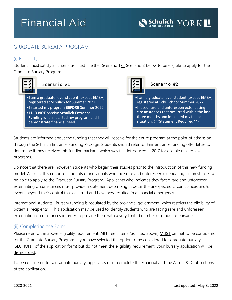# <span id="page-4-0"></span>GRADUATE BURSARY PROGRAM

### <span id="page-4-1"></span>(i) Eligibility

Students must satisfy all criteria as listed in either Scenario 1 or Scenario 2 below to be eligible to apply for the Graduate Bursary Program.



### Scenario #1

•I am a graduate level student (except EMBA) registered at Schulich for Summer 2022

- •I started my program **BEFORE** Summer 2022 •I **DID NOT** receive **Schulich Entrance**
- **Funding** when I started my program and I demonstrate financial need.



#### Scenario #2

- •I am a graduate level student (except EMBA) registered at Schulich for Summer 2022
- •I faced rare and unforeseen extenuating circumstances that occurred within the last three months and impacted my financial situation. (\*\* Statement Required\*\*)

Students are informed about the funding that they will receive for the entire program at the point of admission through the Schulich Entrance Funding Package. Students should refer to their entrance funding offer letter to determine if they received this funding package which was first introduced in 2017 for eligible master level programs.

Do note that there are, however, students who began their studies prior to the introduction of this new funding model. As such, this cohort of students or individuals who face rare and unforeseen extenuating circumstances will be able to apply to the Graduate Bursary Program. Applicants who indicates they faced rare and unforeseen extenuating circumstances must provide a statement describing in detail the unexpected circumstances and/or events beyond their control that occurred and have now resulted in a financial emergency.

International students: Bursary funding is regulated by the provincial government which restricts the eligibility of potential recipients. This application may be used to identify students who are facing rare and unforeseen extenuating circumstances in order to provide them with a very limited number of graduate bursaries.

### <span id="page-4-2"></span>(ii) Completing the Form

Please refer to the above eligibility requirement. All three criteria (as listed above) MUST be met to be considered for the Graduate Bursary Program. If you have selected the option to be considered for graduate bursary (SECTION 1 of the application form) but do not meet the eligibility requirement, your bursary application will be disregarded.

To be considered for a graduate bursary, applicants must complete the Financial and the Assets & Debt sections of the application.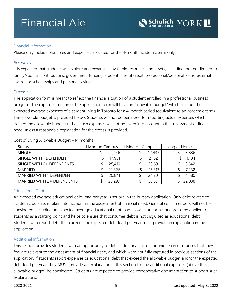#### <span id="page-5-0"></span>Financial Information

Please only include resources and expenses allocated for the 4-month academic term only.

#### *Resources*

It is expected that students will explore and exhaust all available resources and assets, including, but not limited to, family/spousal contributions, government funding, student lines of credit, professional/personal loans, external awards or scholarships and personal savings.

#### *Expenses*

The application form is meant to reflect the financial situation of a student enrolled in a professional business program. The expenses section of the application form will have an "allowable budget" which sets out the expected average expenses of a student living in Toronto for a 4-month period (equivalent to an academic term). The allowable budget is provided below. Students will not be penalized for reporting actual expenses which exceed the allowable budget; rather, such expenses will not be taken into account in the assessment of financial need unless a reasonable explanation for the excess is provided.

| <b>Status</b>                   | Living on Campus |        | Living off Campus |        | Living at Home |        |
|---------------------------------|------------------|--------|-------------------|--------|----------------|--------|
| SINGLE                          |                  | 9,446  |                   | 12,433 |                | 3,836  |
| SINGLE WITH 1 DEPENDENT         |                  | 17,961 |                   | 21,821 |                | 11,184 |
| SINGLE WITH 2+ DEPENDENTS       |                  | 25,419 |                   | 30,691 |                | 18,642 |
| <b>MARRIFD</b>                  |                  | 12,326 |                   | 15,313 |                | 7,232  |
| <b>MARRIED WITH 1 DEPENDENT</b> |                  | 20,841 |                   | 24,701 |                | 14,580 |
| MARRIED WITH 2+ DEPENDENTS      |                  | 28,299 |                   | 33,571 |                | 22,038 |

Cost of Living Allowable Budget – (4 months)

#### <span id="page-5-1"></span>Educational Debt

An expected average educational debt load per year is set out in the bursary application. Only debt related to academic pursuits is taken into account in the assessment of financial need. General consumer debt will not be considered. Including an expected average educational debt load allows a uniform standard to be applied to all students as a starting point and helps to ensure that consumer debt is not disguised as educational debt. Students who report debt that exceeds the expected debt load per year must provide an explanation in the application.

#### <span id="page-5-2"></span>Additional Information

This section provides students with an opportunity to detail additional factors or unique circumstances that they feel are relevant to the assessment of financial need, and which were not fully captured in previous sections of the application. If students report expenses or educational debt that exceed the allowable budget and/or the expected debt load per year, they MUST provide an explanation in this section for the additional expenses (above the allowable budget) be considered. Students are expected to provide corroborative documentation to support such explanations.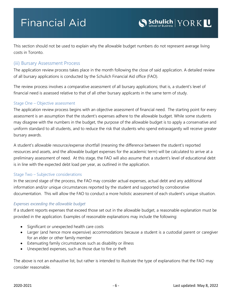This section should not be used to explain why the allowable budget numbers do not represent average living costs in Toronto.

#### <span id="page-6-0"></span>(iii) Bursary Assessment Process

The application review process takes place in the month following the close of said application. A detailed review of all bursary applications is conducted by the Schulich Financial Aid office (FAO).

The review process involves a comparative assessment of all bursary applications; that is, a student's level of financial need is assessed relative to that of all other bursary applicants in the same term of study.

#### <span id="page-6-1"></span>Stage One – Objective assessment

The application review process begins with an objective assessment of financial need. The starting point for every assessment is an assumption that the student's expenses adhere to the allowable budget. While some students may disagree with the numbers in the budget, the purpose of the allowable budget is to apply a conservative and uniform standard to all students, and to reduce the risk that students who spend extravagantly will receive greater bursary awards.

A student's allowable resource/expense shortfall (meaning the difference between the student's reported resources and assets, and the allowable budget expenses for the academic term) will be calculated to arrive at a preliminary assessment of need. At this stage, the FAO will also assume that a student's level of educational debt is in line with the expected debt load per year, as outlined in the application.

#### <span id="page-6-2"></span>Stage Two – Subjective considerations

In the second stage of the process, the FAO may consider actual expenses, actual debt and any additional information and/or unique circumstances reported by the student and supported by corroborative documentation. This will allow the FAO to conduct a more holistic assessment of each student's unique situation.

#### *Expenses exceeding the allowable budget*

If a student reports expenses that exceed those set out in the allowable budget, a reasonable explanation must be provided in the application. Examples of reasonable explanations may include the following:

- Significant or unexpected health care costs
- Larger (and hence more expensive) accommodations because a student is a custodial parent or caregiver for an elder or other family member
- Extenuating family circumstances such as disability or illness
- Unexpected expenses, such as those due to fire or theft

The above is not an exhaustive list, but rather is intended to illustrate the type of explanations that the FAO may consider reasonable.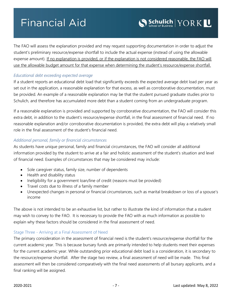The FAO will assess the explanation provided and may request supporting documentation in order to adjust the student's preliminary resource/expense shortfall to include the actual expense (instead of using the allowable expense amount). If no explanation is provided, or if the explanation is not considered reasonable, the FAO will use the allowable budget amount for that expense when determining the student's resource/expense shortfall.

#### *Educational debt exceeding expected average*

If a student reports an educational debt load that significantly exceeds the expected average debt load per year as set out in the application, a reasonable explanation for that excess, as well as corroborative documentation, must be provided. An example of a reasonable explanation may be that the student pursued graduate studies prior to Schulich, and therefore has accumulated more debt than a student coming from an undergraduate program.

If a reasonable explanation is provided and supported by corroborative documentation, the FAO will consider this extra debt, in addition to the student's resource/expense shortfall, in the final assessment of financial need. If no reasonable explanation and/or corroborative documentation is provided, the extra debt will play a relatively small role in the final assessment of the student's financial need.

#### *Additional personal, family or financial circumstances*

As students have unique personal, family and financial circumstances, the FAO will consider all additional information provided by the student to arrive at a fair and holistic assessment of the student's situation and level of financial need. Examples of circumstances that may be considered may include:

- Sole caregiver status, family size, number of dependents
- Health and disability status
- Ineligibility for a government loan/line of credit (reasons must be provided)
- Travel costs due to illness of a family member
- Unexpected changes in personal or financial circumstances, such as marital breakdown or loss of a spouse's income

The above is not intended to be an exhaustive list, but rather to illustrate the kind of information that a student may wish to convey to the FAO. It is necessary to provide the FAO with as much information as possible to explain why these factors should be considered in the final assessment of need.

#### <span id="page-7-0"></span>Stage Three - Arriving at a Final Assessment of Need

The primary consideration in the assessment of financial need is the student's resource/expense shortfall for the current academic year. This is because bursary funds are primarily intended to help students meet their expenses for the current academic year. While outstanding prior educational debt load is a consideration, it is secondary to the resource/expense shortfall. After the stage two review, a final assessment of need will be made. This final assessment will then be considered comparatively with the final need assessments of all bursary applicants, and a final ranking will be assigned.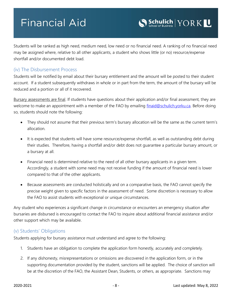Students will be ranked as high need, medium need, low need or no financial need. A ranking of no financial need may be assigned where, relative to all other applicants, a student who shows little (or no) resource/expense shortfall and/or documented debt load.

### <span id="page-8-0"></span>(iv) The Disbursement Process

Students will be notified by email about their bursary entitlement and the amount will be posted to their student account. If a student subsequently withdraws in whole or in part from the term, the amount of the bursary will be reduced and a portion or all of it recovered.

Bursary assessments are final. If students have questions about their application and/or final assessment, they are welcome to make an appointment with a member of the FAO by emailing [finaid@schulich.yorku.ca.](mailto:finaid@schulich.yorku.ca) Before doing so, students should note the following:

- They should not assume that their previous term's bursary allocation will be the same as the current term's allocation.
- It is expected that students will have some resource/expense shortfall, as well as outstanding debt during their studies. Therefore, having a shortfall and/or debt does not guarantee a particular bursary amount, or a bursary at all.
- Financial need is determined relative to the need of all other bursary applicants in a given term. Accordingly, a student with some need may not receive funding if the amount of financial need is lower compared to that of the other applicants.
- Because assessments are conducted holistically and on a comparative basis, the FAO cannot specify the precise weight given to specific factors in the assessment of need. Some discretion is necessary to allow the FAO to assist students with exceptional or unique circumstances.

Any student who experiences a significant change in circumstance or encounters an emergency situation after bursaries are disbursed is encouraged to contact the FAO to inquire about additional financial assistance and/or other support which may be available.

### <span id="page-8-1"></span>(v) Students' Obligations

Students applying for bursary assistance must understand and agree to the following:

- 1. Students have an obligation to complete the application form honestly, accurately and completely.
- 2. If any dishonesty, misrepresentations or omissions are discovered in the application form, or in the supporting documentation provided by the student, sanctions will be applied. The choice of sanction will be at the discretion of the FAO, the Assistant Dean, Students, or others, as appropriate. Sanctions may